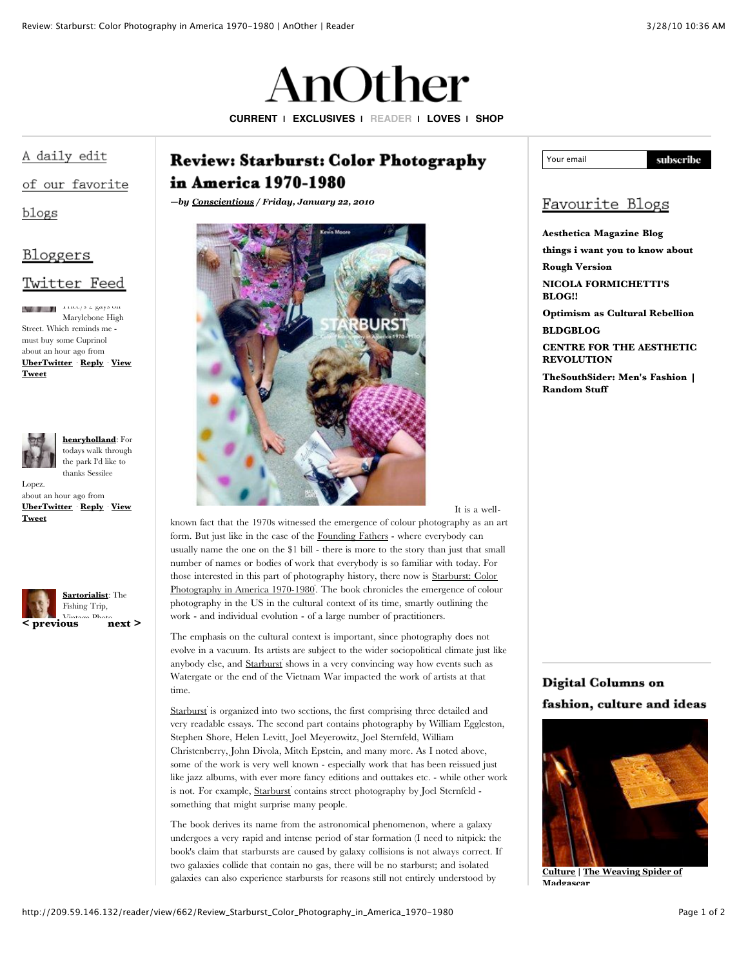# AnOther

**[CURRENT](http://209.59.146.132/current) | [EXCLUSIVES](http://209.59.146.132/exclusives) | [READER](http://209.59.146.132/reader) | [LOVES](http://209.59.146.132/loves) | [SHOP](http://shop.anothermag.com/)**

## A daily edit

### of our favorite

blogs

## <u>Bloggers</u>

## Twitter Feed

 $\frac{1}{2}$   $\frac{1}{2}$   $\frac{1}{2}$   $\frac{1}{2}$  gays on Marylebone High Street. Which reminds me must buy some Cuprinol about an hour ago from **[UberTwitte](http://ubertwitter.com/)[r](http://twitter.com/henryholland/statuses/11193841101)** · **[Reply](http://twitter.com/?status=@henryholland&in_reply_to_status_id=11193841101&in_reply_to=henryholland)** · **View Tweet**



#### **[henryholland](http://twitter.com/henryholland)**: For todays walk through the park I'd like to thanks Sessilee

Lopez. about an hour ago from **[UberTwitte](http://ubertwitter.com/)[r](http://twitter.com/henryholland/statuses/11193099035)** · **[Reply](http://twitter.com/?status=@henryholland&in_reply_to_status_id=11193099035&in_reply_to=henryholland)** · **View Tweet**



# **Review: Starburst: Color Photography** in America 1970-1980

*—by [Conscientious](http://jmcolberg.com/weblog/) / Friday, January 22, 2010*



#### It is a well-

known fact that the 1970s witnessed the emergence of colour photography as an art form. But just like in the case of the [Founding](http://en.wikipedia.org/wiki/Founding_Fathers_of_the_United_States) Fathers - where everybody can usually name the one on the \$1 bill - there is more to the story than just that small number of names or bodies of work that everybody is so familiar with today. For those interested in this part of [photography](http://www.amazon.com/gp/product/3775724907?ie=UTF8&tag=conscientious-20&linkCode=as2&camp=1789&creative=390957&creativeASIN=3775724907) history, there now is Starburst: Color Photography in America 1970-1980. The book chronicles the emergence of colour photography in the US in the cultural context of its time, smartly outlining the work - and individual evolution - of a large number of practitioners.

The emphasis on the cultural context is important, since photography does not evolve in a vacuum. Its artists are subject to the wider sociopolitical climate just like anybody else, and [Starburst](http://www.amazon.com/gp/product/3775724907?ie=UTF8&tag=conscientious-20&linkCode=as2&camp=1789&creative=390957&creativeASIN=3775724907) shows in a very convincing way how events such as Watergate or the end of the Vietnam War impacted the work of artists at that time.

[Starburst](http://www.amazon.com/gp/product/3775724907?ie=UTF8&tag=conscientious-20&linkCode=as2&camp=1789&creative=390957&creativeASIN=3775724907) is organized into two sections, the first comprising three detailed and very readable essays. The second part contains photography by William Eggleston, Stephen Shore, Helen Levitt, Joel Meyerowitz, Joel Sternfeld, William Christenberry, John Divola, Mitch Epstein, and many more. As I noted above, some of the work is very well known - especially work that has been reissued just like jazz albums, with ever more fancy editions and outtakes etc. - while other work is not. For example, [Starburst](http://www.amazon.com/gp/product/3775724907?ie=UTF8&tag=conscientious-20&linkCode=as2&camp=1789&creative=390957&creativeASIN=3775724907) contains street photography by Joel Sternfeld something that might surprise many people.

The book derives its name from the astronomical phenomenon, where a galaxy undergoes a very rapid and intense period of star formation (I need to nitpick: the book's claim that starbursts are caused by galaxy collisions is not always correct. If two galaxies collide that contain no gas, there will be no starburst; and isolated galaxies can also experience starbursts for reasons still not entirely understood by



# Favourite Blogs

**[Aesthetica](http://aestheticamagazine.blogspot.com/) Magazine Blog [things](http://sylviafarago.blogspot.com/) i want you to know about**

**Rough [Version](http://roughversion.blogspot.com/) NICOLA [FORMICHETTI'S](http://nicolaformichetti.blogspot.com/) BLOG!!**

**[Optimism](http://www.matthewstone.co.uk/) as Cultural Rebellion [BLDGBLOG](http://bldgblog.blogspot.com/)**

**CENTRE FOR THE AESTHETIC [REVOLUTION](http://centrefortheaestheticrevolution.blogspot.com/)**

**[TheSouthSider:](http://dsouthsider.blogspot.com/) Men's Fashion | Random Stuff**

# Digital Columns on fashion, culture and ideas



**[Culture](http://209.59.146.132/current/Culture) | The [Weaving](http://209.59.146.132/current/view/194/The_Weaving_Spider_of_Madgascar) Spider of Madgascar**